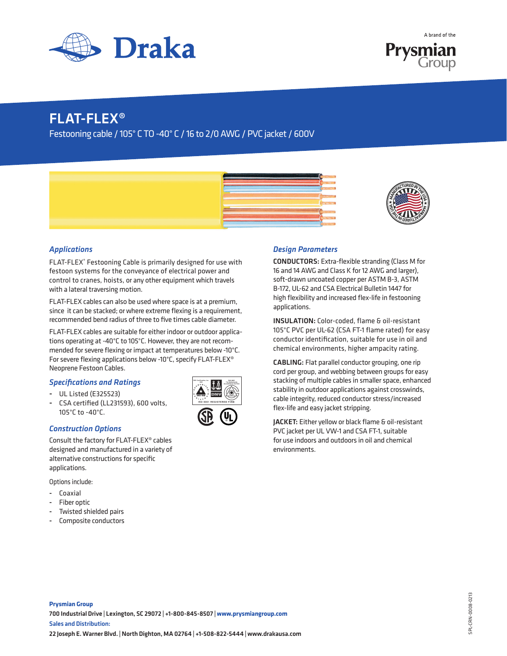



## FLAT-FLEX®

Festooning cable / 105° C TO -40° C / 16 to 2/0 AWG / PVC jacket / 600V





## *Applications*

FLAT-FLEX® Festooning Cable is primarily designed for use with festoon systems for the conveyance of electrical power and control to cranes, hoists, or any other equipment which travels with a lateral traversing motion.

FLAT-FLEX cables can also be used where space is at a premium, since it can be stacked; or where extreme flexing is a requirement, recommended bend radius of three to five times cable diameter.

FLAT-FLEX cables are suitable for either indoor or outdoor applications operating at -40°C to 105°C. However, they are not recommended for severe flexing or impact at temperatures below -10°C. For severe flexing applications below -10°C, specify FLAT-FLEX® Neoprene Festoon Cables.

### *Specifications and Ratings*

- UL Listed (E325523)
- CSA certified (LL231593), 600 volts, 105°C to -40°C.

### *Construction Options*

Consult the factory for FLAT-FLEX® cables designed and manufactured in a variety of alternative constructions for specific applications.

Options include:

- Coaxial
- Fiber optic
- Twisted shielded pairs
- Composite conductors



## *Design Parameters*

CONDUCTORS: Extra-flexible stranding (Class M for 16 and 14 AWG and Class K for 12 AWG and larger), soft-drawn uncoated copper per ASTM B-3, ASTM B-172, UL-62 and CSA Electrical Bulletin 1447 for high flexibility and increased flex-life in festooning applications.

INSULATION: Color-coded, flame & oil-resistant 105°C PVC per UL-62 (CSA FT-1 flame rated) for easy conductor identification, suitable for use in oil and chemical environments, higher ampacity rating.

CABLING: Flat parallel conductor grouping, one rip cord per group, and webbing between groups for easy stacking of multiple cables in smaller space, enhanced stability in outdoor applications against crosswinds, cable integrity, reduced conductor stress/increased flex-life and easy jacket stripping.

JACKET: Either yellow or black flame & oil-resistant PVC jacket per UL VW-1 and CSA FT-1, suitable for use indoors and outdoors in oil and chemical environments.